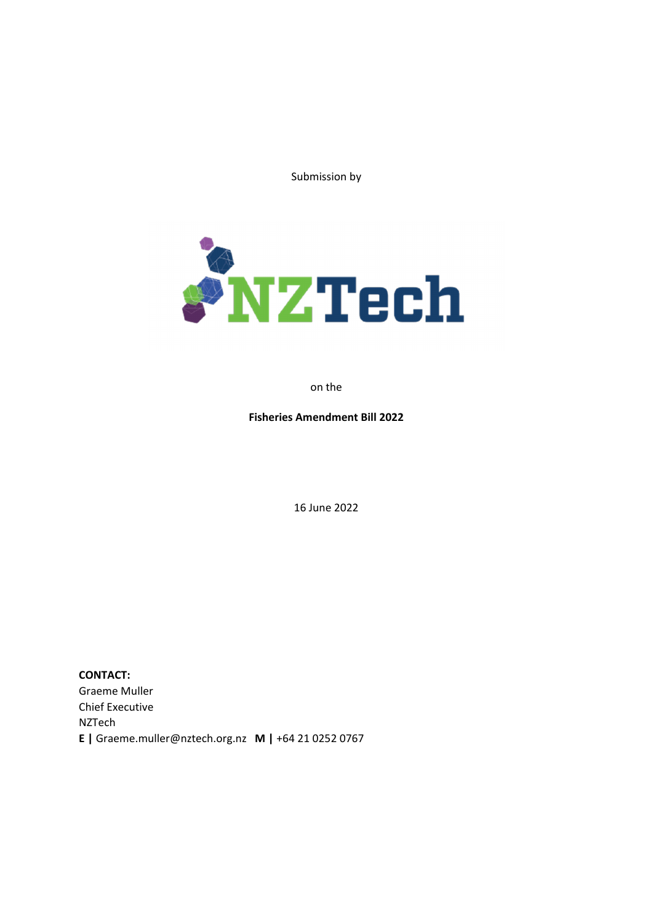Submission by



on the

**Fisheries Amendment Bill 2022**

16 June 2022

**CONTACT:** Graeme Muller Chief Executive NZTech **E |** Graeme.muller@nztech.org.nz **M |** +64 21 0252 0767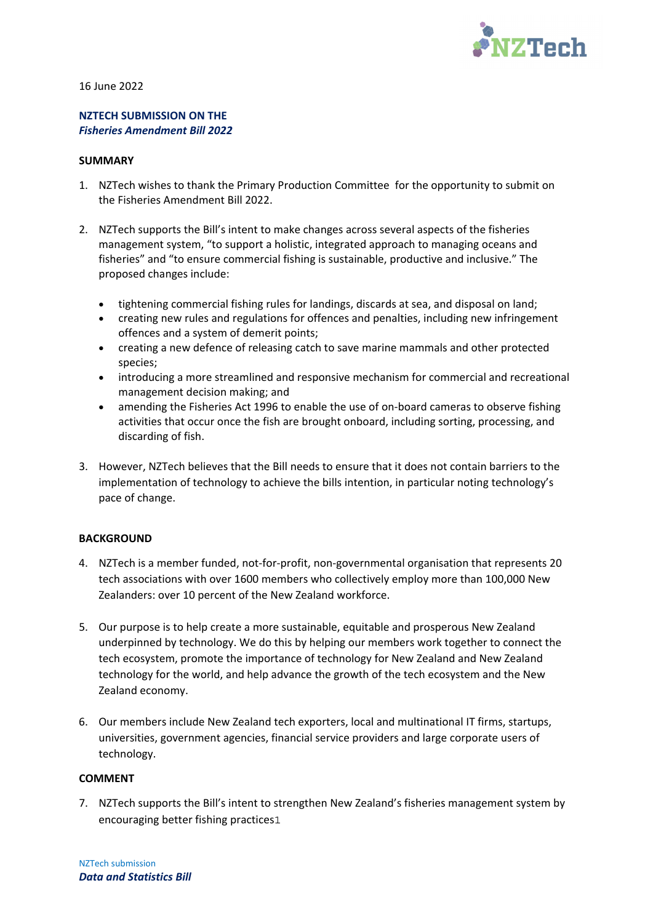

16 June 2022

# **NZTECH SUBMISSION ON THE**  *Fisheries Amendment Bill 2022*

#### **SUMMARY**

- 1. NZTech wishes to thank the Primary Production Committee for the opportunity to submit on the Fisheries Amendment Bill 2022.
- 2. NZTech supports the Bill's intent to make changes across several aspects of the fisheries management system, "to support a holistic, integrated approach to managing oceans and fisheries" and "to ensure commercial fishing is sustainable, productive and inclusive." The proposed changes include:
	- tightening commercial fishing rules for landings, discards at sea, and disposal on land;
	- creating new rules and regulations for offences and penalties, including new infringement offences and a system of demerit points;
	- creating a new defence of releasing catch to save marine mammals and other protected species;
	- introducing a more streamlined and responsive mechanism for commercial and recreational management decision making; and
	- amending the Fisheries Act 1996 to enable the use of on-board cameras to observe fishing activities that occur once the fish are brought onboard, including sorting, processing, and discarding of fish.
- 3. However, NZTech believes that the Bill needs to ensure that it does not contain barriers to the implementation of technology to achieve the bills intention, in particular noting technology's pace of change.

### **BACKGROUND**

- 4. NZTech is a member funded, not-for-profit, non-governmental organisation that represents 20 tech associations with over 1600 members who collectively employ more than 100,000 New Zealanders: over 10 percent of the New Zealand workforce.
- 5. Our purpose is to help create a more sustainable, equitable and prosperous New Zealand underpinned by technology. We do this by helping our members work together to connect the tech ecosystem, promote the importance of technology for New Zealand and New Zealand technology for the world, and help advance the growth of the tech ecosystem and the New Zealand economy.
- 6. Our members include New Zealand tech exporters, local and multinational IT firms, startups, universities, government agencies, financial service providers and large corporate users of technology.

### **COMMENT**

7. NZTech supports the Bill's intent to strengthen New Zealand's fisheries management system by encouraging better fishing practices1